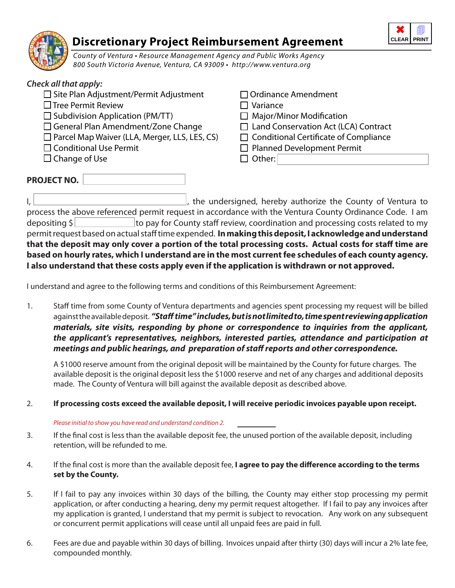

# **Discretionary Project Reimbursement Agreement**

County of Ventura • Resource Management Agency and Public Works Agency 800 South Victoria Avenue, Ventura, CA 93009 • http://www.ventura.org

## *Check all that apply:*  $\square$  Site Plan Adjustment/Permit Adjustment  $\square$  Ordinance Amendment  $\Box$  Tree Permit Review  $\Box$  Variance  $\Box$  Subdivision Application (PM/TT)  $\Box$  Major/Minor Modification  $\Box$  General Plan Amendment/Zone Change  $\Box$  Land Conservation Act (LCA) Contract  $\Box$  Parcel Map Waiver (LLA, Merger, LLS, LES, CS)  $\Box$  Conditional Certificate of Compliance  $\Box$  Conditional Use Permit  $\Box$  Planned Development Permit  $\square$  Change of Use  $\square$  Other: **PROJECT NO.**

I,  $\Box$  , the undersigned, hereby authorize the County of Ventura to process the above referenced permit request in accordance with the Ventura County Ordinance Code. I am depositing  $\frac{1}{2}$  to pay for County staff review, coordination and processing costs related to my permit request based on actual staff time expended. **In making this deposit, I acknowledge and understand that the deposit may only cover a portion of the total processing costs. Actual costs for staff time are based on hourly rates, which I understand are in the most current fee schedules of each county agency. I also understand that these costs apply even if the application is withdrawn or not approved.**

I understand and agree to the following terms and conditions of this Reimbursement Agreement:

1. Staff time from some County of Ventura departments and agencies spent processing my request will be billed against the available deposit. *"Staff time" includes, but is not limited to, time spent reviewing application materials, site visits, responding by phone or correspondence to inquiries from the applicant, the applicant's representatives, neighbors, interested parties, attendance and participation at meetings and public hearings, and preparation of staff reports and other correspondence.*

A \$1000 reserve amount from the original deposit will be maintained by the County for future charges. The available deposit is the original deposit less the \$1000 reserve and net of any charges and additional deposits made. The County of Ventura will bill against the available deposit as described above.

### 2. **If processing costs exceed the available deposit, I will receive periodic invoices payable upon receipt.**

#### Please initial to show you have read and understand condition 2.

- 3. If the final cost is less than the available deposit fee, the unused portion of the available deposit, including retention, will be refunded to me.
- 4. If the final cost is more than the available deposit fee, **I agree to pay the difference according to the terms set by the County.**
- 5. If I fail to pay any invoices within 30 days of the billing, the County may either stop processing my permit application, or after conducting a hearing, deny my permit request altogether. If I fail to pay any invoices after my application is granted, I understand that my permit is subject to revocation. Any work on any subsequent or concurrent permit applications will cease until all unpaid fees are paid in full.
- 6. Fees are due and payable within 30 days of billing. Invoices unpaid after thirty (30) days will incur a 2% late fee, compounded monthly.